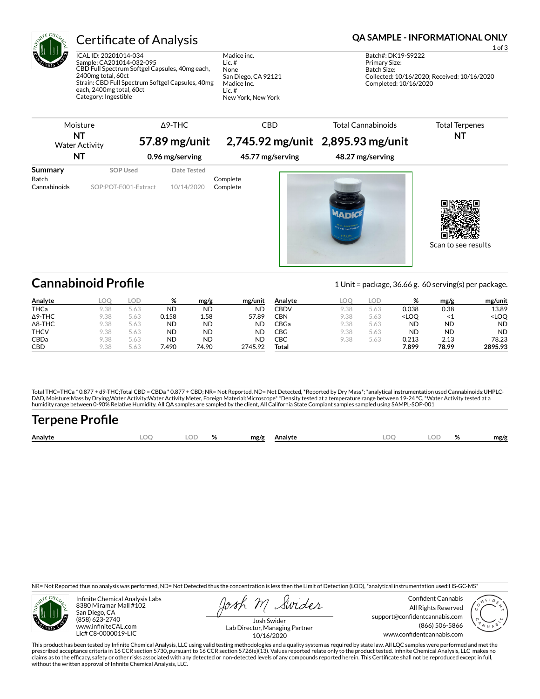

ICAL ID: 20201014-034 Sample: CA201014-032-095 CBD Full Spectrum Softgel Capsules, 40mg each, 2400mg total, 60ct Strain: CBD Full Spectrum Softgel Capsules, 40mg each, 2400mg total, 60ct Category: Ingestible

Madice inc. Lic. # None San Diego, CA 92121 Madice Inc. Lic. # New York, New York

## Certificate of Analysis **Certificate of Analysis QA SAMPLE - INFORMATIONAL ONLY**

1 of 3

Batch#: DK19-S9222 Primary Size: Batch Size: Collected: 10/16/2020; Received: 10/16/2020 Completed: 10/16/2020



## **Cannabinoid Profile** 1 Unit = package, 36.66 g. 60 serving(s) per package.

| Analyte        | LOO  | LOD  | %         | mg/g      | mg/unit   | Analyte | LOO  | LOD  | %                                                          | mg/g      | mg/unit             |
|----------------|------|------|-----------|-----------|-----------|---------|------|------|------------------------------------------------------------|-----------|---------------------|
| <b>THCa</b>    | 9.38 | 5.63 | <b>ND</b> | <b>ND</b> | ND        | CBDV    | 9.38 | 5.63 | 0.038                                                      | 0.38      | 13.89               |
| $\Delta$ 9-THC | 9.38 | 5.63 | 0.158     | 1.58      | 57.89     | CBN     | 9.38 | 5.63 | <loo< th=""><th>-1</th><th><loo< th=""></loo<></th></loo<> | -1        | <loo< th=""></loo<> |
| $\Delta$ 8-THC | 9.38 | 5.63 | <b>ND</b> | <b>ND</b> | <b>ND</b> | CBGa    | 9.38 | 5.63 | <b>ND</b>                                                  | <b>ND</b> | <b>ND</b>           |
| <b>THCV</b>    | 9.38 | 5.63 | <b>ND</b> | <b>ND</b> | <b>ND</b> | CBG     | 9.38 | 5.63 | <b>ND</b>                                                  | <b>ND</b> | <b>ND</b>           |
| CBDa           | 9.38 | 5.63 | <b>ND</b> | <b>ND</b> | <b>ND</b> | СВС     | 9.38 | 5.63 | 0.213                                                      | 2.13      | 78.23               |
| <b>CBD</b>     | 9.38 | 5.63 | 490.      | 74.90     | 2745.92   | Total   |      |      | 7.899                                                      | 78.99     | 2895.93             |

Total THC=THCa \* 0.877 + d9-THC;Total CBD = CBDa \* 0.877 + CBD; NR= Not Reported, ND= Not Detected, \*Reported by Dry Mass\*; \*analytical instrumentation used Cannabinoids:UHPLC-DAD, Moisture:Mass by Drying,Water Activity:Water Activity Meter, Foreign Material:Microscope\* \*Density tested at a temperature range between 19-24 °C, \*Water Activity tested at a<br>humidity range between 0-90% Relative Humi

## Terpene Profile

| Analyte | $\sim$ $\sim$ | $\mathbf{a}$ | mg/g<br>Analyte | LOC | ОΓ | u<br>$\sqrt{2}$ | mg/g |
|---------|---------------|--------------|-----------------|-----|----|-----------------|------|
|         |               |              |                 |     |    |                 |      |

NR= Not Reported thus no analysis was performed, ND= Not Detected thus the concentration is less then the Limit of Detection (LOD), \*analytical instrumentation used:HS-GC-MS\*



Infinite Chemical Analysis Labs 8380 Miramar Mall #102 San Diego, CA (858) 623-2740 www.infiniteCAL.com Lic# C8-0000019-LIC

Swides

Confident Cannabis All Rights Reserved support@confidentcannabis.com (866) 506-5866 www.confidentcannabis.com



Josh Swider Lab Director, Managing Partner 10/16/2020

This product has been tested by Infinite Chemical Analysis, LLC using valid testing methodologies and a quality system as required by state law. All LQC samples were performed and met the prescribed acceptance criteria in 16 CCR section 5730, pursuant to 16 CCR section 5726(e)(13). Values reported relate only to the product tested. Infinite Chemical Analysis, LLC makes no<br>claims as to the efficacy, safety o without the written approval of Infinite Chemical Analysis, LLC.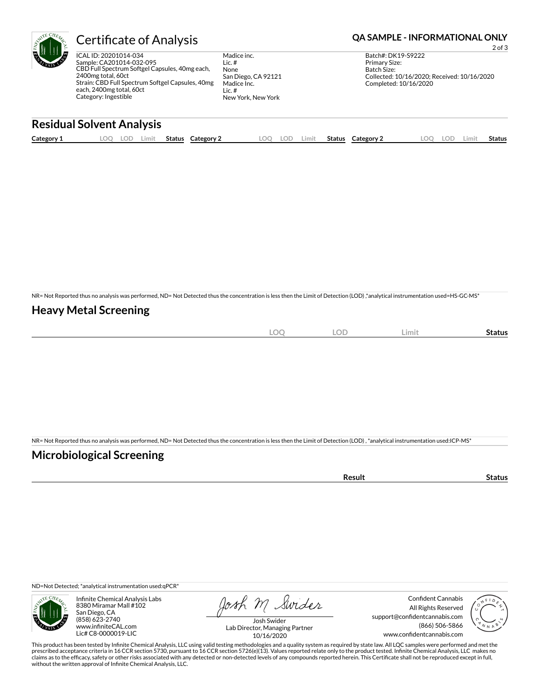

## Certificate of Analysis **Certificate of Analysis QA SAMPLE - INFORMATIONAL ONLY**

ICAL ID: 20201014-034 Sample: CA201014-032-095 CBD Full Spectrum Softgel Capsules, 40mg each, 2400mg total, 60ct Strain: CBD Full Spectrum Softgel Capsules, 40mg each, 2400mg total, 60ct Category: Ingestible

Madice inc. Lic. # None San Diego, CA 92121 Madice Inc. Lic. # New York, New York

2 of 3 Batch#: DK19-S9222 Primary Size: Batch Size: Collected: 10/16/2020; Received: 10/16/2020 Completed: 10/16/2020

### **Residual Solvent Analysis**

| Category 1 | OO<br>-- | ∟OD | Limit | <b>Status</b> | Category | LOO | loe | ∟imit | <b>Status</b> | Category 2 | O). | LOD. | Limit | Status |
|------------|----------|-----|-------|---------------|----------|-----|-----|-------|---------------|------------|-----|------|-------|--------|
|            |          |     |       |               |          |     |     |       |               |            |     |      |       |        |

NR= Not Reported thus no analysis was performed, ND= Not Detected thus the concentration is less then the Limit of Detection (LOD) ,\*analytical instrumentation used=HS-GC-MS\*

#### **Heavy Metal Screening**

| $\widehat{\phantom{m}}$<br>$-$<br>$\sim$ | $\cap$<br>- 10<br>$\sim$ | Limit | status |
|------------------------------------------|--------------------------|-------|--------|
|                                          |                          |       |        |

NR= Not Reported thus no analysis was performed, ND= Not Detected thus the concentration is less then the Limit of Detection (LOD) , \*analytical instrumentation used:ICP-MS\*

### **Microbiological Screening**

| 'esult | LUS. |
|--------|------|
|        |      |

ND=Not Detected; \*analytical instrumentation used:qPCR\*



Infinite Chemical Analysis Labs 8380 Miramar Mall #102 San Diego, CA (858) 623-2740 www.infiniteCAL.com Lic# C8-0000019-LIC

Josh M Swider

Confident Cannabis All Rights Reserved support@confidentcannabis.com (866) 506-5866 www.confidentcannabis.com



Josh Swider Lab Director, Managing Partner 10/16/2020

This product has been tested by Infinite Chemical Analysis, LLC using valid testing methodologies and a quality system as required by state law. All LQC samples were performed and met the prescribed acceptance criteria in 16 CCR section 5730, pursuant to 16 CCR section 5726(e)(13). Values reported relate only to the product tested. Infinite Chemical Analysis, LLC makes no<br>claims as to the efficacy, safety o without the written approval of Infinite Chemical Analysis, LLC.